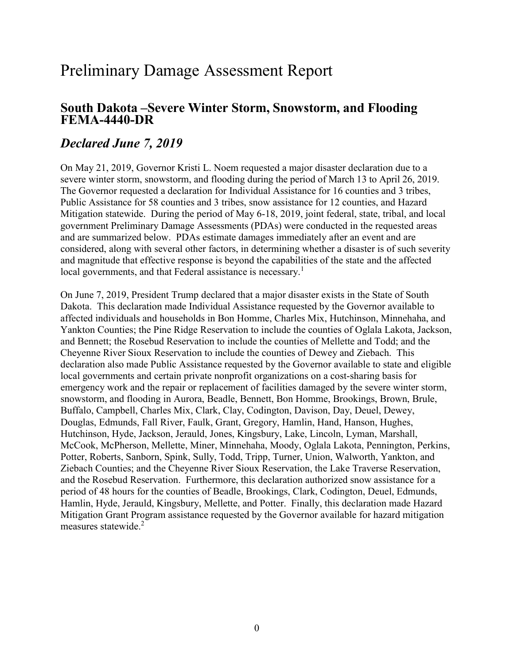## Preliminary Damage Assessment Report

# South Dakota –Severe Winter Storm, Snowstorm, and Flooding FEMA-4440-DR

### Declared June 7, 2019

 On May 21, 2019, Governor Kristi L. Noem requested a major disaster declaration due to a severe winter storm, snowstorm, and flooding during the period of March 13 to April 26, 2019. The Governor requested a declaration for Individual Assistance for 16 counties and 3 tribes, Public Assistance for 58 counties and 3 tribes, snow assistance for 12 counties, and Hazard Mitigation statewide. During the period of May 6-18, 2019, joint federal, state, tribal, and local government Preliminary Damage Assessments (PDAs) were conducted in the requested areas and are summarized below. PDAs estimate damages immediately after an event and are considered, along with several other factors, in determining whether a disaster is of such severity and magnitude that effective response is beyond the capabilities of the state and the affected local governments, and that Federal assistance is necessary.<sup>1</sup>

 On June 7, 2019, President Trump declared that a major disaster exists in the State of South Dakota. This declaration made Individual Assistance requested by the Governor available to affected individuals and households in Bon Homme, Charles Mix, Hutchinson, Minnehaha, and Yankton Counties; the Pine Ridge Reservation to include the counties of Oglala Lakota, Jackson, and Bennett; the Rosebud Reservation to include the counties of Mellette and Todd; and the Cheyenne River Sioux Reservation to include the counties of Dewey and Ziebach. This declaration also made Public Assistance requested by the Governor available to state and eligible local governments and certain private nonprofit organizations on a cost-sharing basis for emergency work and the repair or replacement of facilities damaged by the severe winter storm, snowstorm, and flooding in Aurora, Beadle, Bennett, Bon Homme, Brookings, Brown, Brule, Buffalo, Campbell, Charles Mix, Clark, Clay, Codington, Davison, Day, Deuel, Dewey, Douglas, Edmunds, Fall River, Faulk, Grant, Gregory, Hamlin, Hand, Hanson, Hughes, Hutchinson, Hyde, Jackson, Jerauld, Jones, Kingsbury, Lake, Lincoln, Lyman, Marshall, McCook, McPherson, Mellette, Miner, Minnehaha, Moody, Oglala Lakota, Pennington, Perkins, Potter, Roberts, Sanborn, Spink, Sully, Todd, Tripp, Turner, Union, Walworth, Yankton, and Ziebach Counties; and the Cheyenne River Sioux Reservation, the Lake Traverse Reservation, and the Rosebud Reservation. Furthermore, this declaration authorized snow assistance for a period of 48 hours for the counties of Beadle, Brookings, Clark, Codington, Deuel, Edmunds, Hamlin, Hyde, Jerauld, Kingsbury, Mellette, and Potter. Finally, this declaration made Hazard Mitigation Grant Program assistance requested by the Governor available for hazard mitigation measures statewide.<sup>2</sup>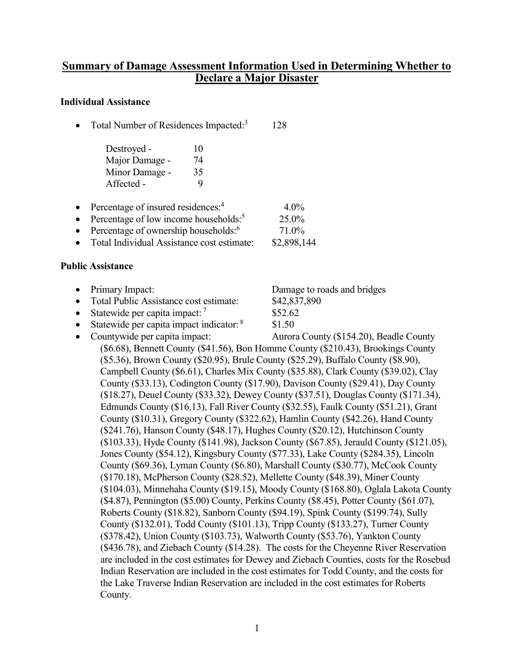#### Summary of Damage Assessment Information Used in Determining Whether to Declare a Major Disaster

#### Individual Assistance

- $\bullet$  Total Number of Residences Impacted:<sup>3</sup> 128
	- Destroyed 10 Major Damage - 74 Minor Damage - 35 Affected - 9
- Percentage of insured residences:<sup>4</sup> 4.0%
- Percentage of low income households: $5$
- Percentage of ownership households: $6$
- Total Individual Assistance cost estimate: \$2,898,144

#### Public Assistance

- Primary Impact:
- Total Public Assistance cost estimate:
- Statewide per capita impact:  $7$
- $\bullet$  Statewide per capita impact indicator:  $8$
- Countywide per capita impact:

Damage to roads and bridges \$42,837,890 \$52.62 \$1.50

25.0% 71.0%

Aurora County (\$154.20), Beadle County (\$6.68), Bennett County (\$41.56), Bon Homme County (\$210.43), Brookings County (\$5.36), Brown County (\$20.95), Brule County (\$25.29), Buffalo County (\$8.90), Campbell County (\$6.61), Charles Mix County (\$35.88), Clark County (\$39.02), Clay County (\$33.13), Codington County (\$17.90), Davison County (\$29.41), Day County (\$18.27), Deuel County (\$33.32), Dewey County (\$37.51), Douglas County (\$171.34), Edmunds County (\$16.13), Fall River County (\$32.55), Faulk County (\$51.21), Grant County (\$10.31), Gregory County (\$322.62), Hamlin County (\$42.26), Hand County (\$241.76), Hanson County (\$48.17), Hughes County (\$20.12), Hutchinson County (\$103.33), Hyde County (\$141.98), Jackson County (\$67.85), Jerauld County (\$121.05), Jones County (\$54.12), Kingsbury County (\$77.33), Lake County (\$284.35), Lincoln County (\$69.36), Lyman County (\$6.80), Marshall County (\$30.77), McCook County (\$170.18), McPherson County (\$28.52), Mellette County (\$48.39), Miner County (\$104.03), Minnehaha County (\$19.15), Moody County (\$168.80), Oglala Lakota County (\$4.87), Pennington (\$5.00) County, Perkins County (\$8.45), Potter County (\$61.07), Roberts County (\$18.82), Sanborn County (\$94.19), Spink County (\$199.74), Sully County (\$132.01), Todd County (\$101.13), Tripp County (\$133.27), Turner County (\$378.42), Union County (\$103.73), Walworth County (\$53.76), Yankton County (\$436.78), and Ziebach County (\$14.28). The costs for the Cheyenne River Reservation are included in the cost estimates for Dewey and Ziebach Counties, costs for the Rosebud Indian Reservation are included in the cost estimates for Todd County, and the costs for the Lake Traverse Indian Reservation are included in the cost estimates for Roberts County.